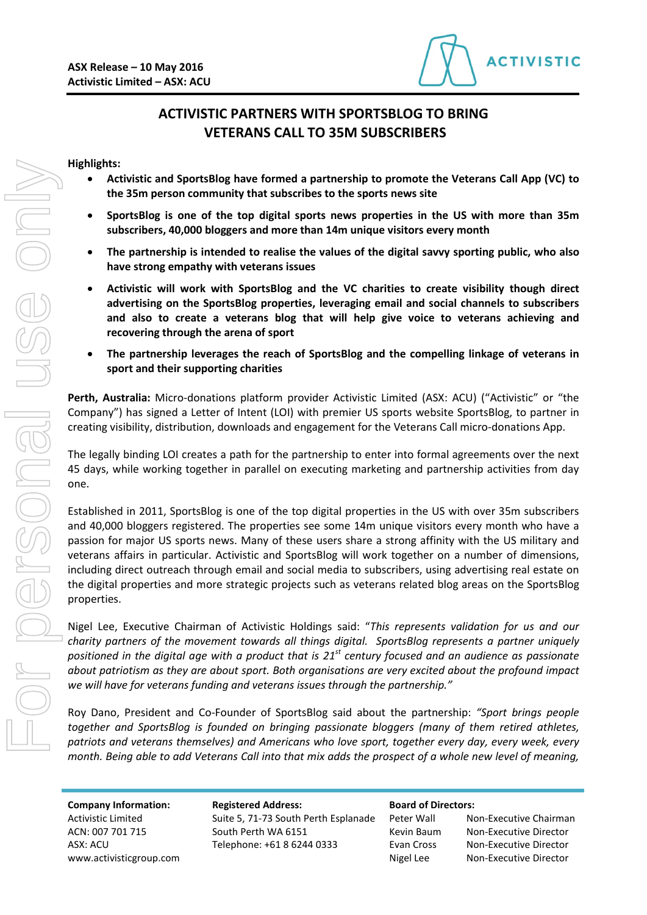

# **ACTIVISTIC PARTNERS WITH SPORTSBLOG TO BRING VETERANS CALL TO 35M SUBSCRIBERS**

### **Highlights:**

- **Activistic and SportsBlog have formed a partnership to promote the Veterans Call App (VC) to the 35m person community that subscribes to the sports news site**
- **SportsBlog is one of the top digital sports news properties in the US with more than 35m subscribers, 40,000 bloggers and more than 14m unique visitors every month**
- **The partnership is intended to realise the values of the digital savvy sporting public, who also have strong empathy with veterans issues**
- **Activistic will work with SportsBlog and the VC charities to create visibility though direct advertising on the SportsBlog properties, leveraging email and social channels to subscribers and also to create a veterans blog that will help give voice to veterans achieving and recovering through the arena of sport**
- **The partnership leverages the reach of SportsBlog and the compelling linkage of veterans in sport and their supporting charities**

**Perth, Australia:** Micro-donations platform provider Activistic Limited (ASX: ACU) ("Activistic" or "the Company") has signed a Letter of Intent (LOI) with premier US sports website SportsBlog, to partner in creating visibility, distribution, downloads and engagement for the Veterans Call micro-donations App.

The legally binding LOI creates a path for the partnership to enter into formal agreements over the next 45 days, while working together in parallel on executing marketing and partnership activities from day one.

Established in 2011, SportsBlog is one of the top digital properties in the US with over 35m subscribers and 40,000 bloggers registered. The properties see some 14m unique visitors every month who have a passion for major US sports news. Many of these users share a strong affinity with the US military and veterans affairs in particular. Activistic and SportsBlog will work together on a number of dimensions, including direct outreach through email and social media to subscribers, using advertising real estate on the digital properties and more strategic projects such as veterans related blog areas on the SportsBlog properties.

Nigel Lee, Executive Chairman of Activistic Holdings said: "*This represents validation for us and our charity partners of the movement towards all things digital. SportsBlog represents a partner uniquely positioned in the digital age with a product that is 21st century focused and an audience as passionate about patriotism as they are about sport. Both organisations are very excited about the profound impact we will have for veterans funding and veterans issues through the partnership."*

Roy Dano, President and Co-Founder of SportsBlog said about the partnership: *"Sport brings people together and SportsBlog is founded on bringing passionate bloggers (many of them retired athletes, patriots and veterans themselves) and Americans who love sport, together every day, every week, every month. Being able to add Veterans Call into that mix adds the prospect of a whole new level of meaning,* 

**Company Information: Registered Address: Board of Directors:** 

Activistic Limited Suite 5, 71-73 South Perth Esplanade Peter Wall Non-Executive Chairman ACN: 007 701 715 South Perth WA 6151 Kevin Baum Non-Executive Director ASX: ACU Telephone: +61 8 6244 0333 Evan Cross Non-Executive Director

| Activistic Limited      | Suite 5, 71-73 South Perth Esplanade | Peter Wall | Non-Executive Chairma  |
|-------------------------|--------------------------------------|------------|------------------------|
| ACN: 007 701 715        | South Perth WA 6151                  | Kevin Baum | Non-Executive Director |
| ASX: ACU                | Telephone: +61 8 6244 0333           | Evan Cross | Non-Executive Director |
| www.activisticgroup.com |                                      | Nigel Lee  | Non-Executive Director |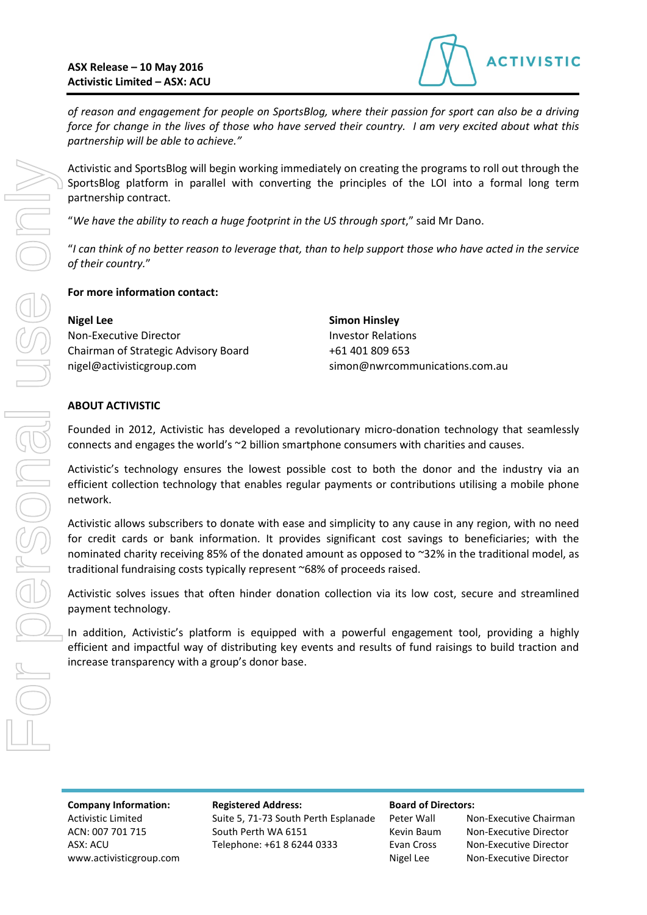

*of reason and engagement for people on SportsBlog, where their passion for sport can also be a driving force for change in the lives of those who have served their country. I am very excited about what this partnership will be able to achieve."*

Activistic and SportsBlog will begin working immediately on creating the programs to roll out through the SportsBlog platform in parallel with converting the principles of the LOI into a formal long term partnership contract.

"*We have the ability to reach a huge footprint in the US through sport*," said Mr Dano.

"*I can think of no better reason to leverage that, than to help support those who have acted in the service of their country.*"

### **For more information contact:**

| <b>Nigel Lee</b>                     |
|--------------------------------------|
| Non-Executive Director               |
| Chairman of Strategic Advisory Board |
| nigel@activisticgroup.com            |

**Simon Hinsley Investor Relations** +61 401 809 653 simon@nwrcommunications.com.au

## **ABOUT ACTIVISTIC**

For personal use only

IBELSONS

Founded in 2012, Activistic has developed a revolutionary micro-donation technology that seamlessly connects and engages the world's ~2 billion smartphone consumers with charities and causes.

Activistic's technology ensures the lowest possible cost to both the donor and the industry via an efficient collection technology that enables regular payments or contributions utilising a mobile phone network.

Activistic allows subscribers to donate with ease and simplicity to any cause in any region, with no need for credit cards or bank information. It provides significant cost savings to beneficiaries; with the nominated charity receiving 85% of the donated amount as opposed to ~32% in the traditional model, as traditional fundraising costs typically represent ~68% of proceeds raised.

Activistic solves issues that often hinder donation collection via its low cost, secure and streamlined payment technology.

In addition, Activistic's platform is equipped with a powerful engagement tool, providing a highly efficient and impactful way of distributing key events and results of fund raisings to build traction and increase transparency with a group's donor base.

Activistic Limited Suite 5, 71-73 South Perth Esplanade Peter Wall Non-Executive Chairman ACN: 007 701 715 South Perth WA 6151 Kevin Baum Non-Executive Director ASX: ACU Telephone: +61 8 6244 0333 Evan Cross Non-Executive Director